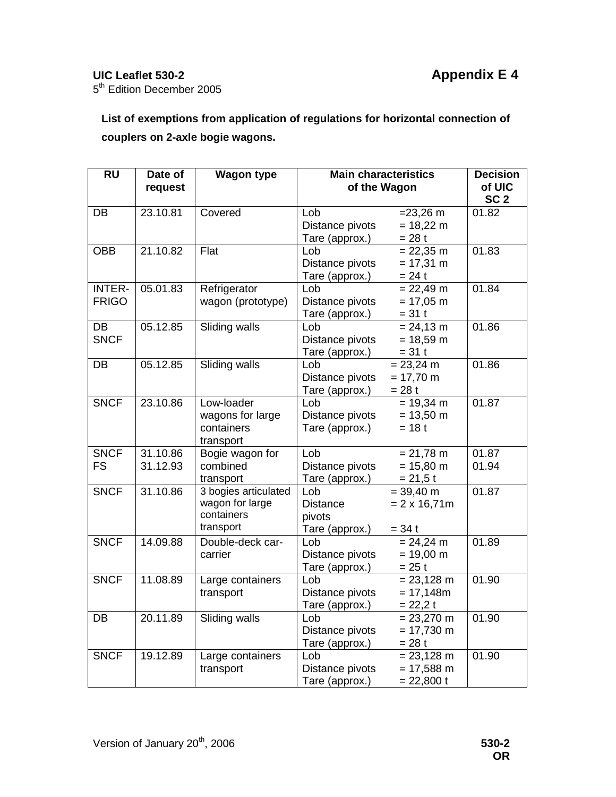5<sup>th</sup> Edition December 2005

**List of exemptions from application of regulations for horizontal connection of couplers on 2-axle bogie wagons.** 

| <b>RU</b>     | Date of  | <b>Wagon type</b>    | <b>Main characteristics</b> | <b>Decision</b>      |                 |
|---------------|----------|----------------------|-----------------------------|----------------------|-----------------|
|               | request  |                      | of the Wagon                | of UIC               |                 |
|               |          |                      |                             |                      | SC <sub>2</sub> |
| DB            | 23.10.81 | Covered              | Lob                         | $= 23,26 \text{ m}$  | 01.82           |
|               |          |                      | Distance pivots             | $= 18,22 \text{ m}$  |                 |
|               |          |                      | Tare (approx.)              | $= 28 t$             |                 |
| <b>OBB</b>    | 21.10.82 | Flat                 | Lob                         | $= 22,35 \text{ m}$  | 01.83           |
|               |          |                      | Distance pivots             | $= 17,31 \text{ m}$  |                 |
|               |          |                      | Tare (approx.)              | $= 24 t$             |                 |
| <b>INTER-</b> | 05.01.83 | Refrigerator         | Lob                         | $= 22,49 \text{ m}$  | 01.84           |
| <b>FRIGO</b>  |          | wagon (prototype)    | Distance pivots             | $= 17,05 \text{ m}$  |                 |
|               |          |                      | Tare (approx.)              | $= 31 t$             |                 |
| DB            | 05.12.85 | <b>Sliding walls</b> | Lob                         | $= 24,13 \text{ m}$  | 01.86           |
| <b>SNCF</b>   |          |                      | Distance pivots             | $= 18,59 \text{ m}$  |                 |
|               |          |                      | Tare (approx.)              | $= 31 t$             |                 |
| DB            | 05.12.85 | Sliding walls        | Lob                         | $= 23,24 \text{ m}$  | 01.86           |
|               |          |                      | Distance pivots             | $= 17,70 \text{ m}$  |                 |
|               |          |                      | Tare (approx.)              | $= 28 t$             |                 |
| <b>SNCF</b>   | 23.10.86 | Low-loader           | Lob                         | $= 19,34 \text{ m}$  | 01.87           |
|               |          | wagons for large     | Distance pivots             | $= 13,50 \text{ m}$  |                 |
|               |          | containers           | Tare (approx.)              | $= 18 t$             |                 |
|               |          | transport            |                             |                      |                 |
| <b>SNCF</b>   | 31.10.86 | Bogie wagon for      | Lob                         | $= 21,78 \text{ m}$  | 01.87           |
| <b>FS</b>     | 31.12.93 | combined             | Distance pivots             | $= 15,80 \text{ m}$  | 01.94           |
|               |          | transport            | Tare (approx.)              | $= 21, 5t$           |                 |
| <b>SNCF</b>   | 31.10.86 | 3 bogies articulated | Lob                         | $= 39,40 \text{ m}$  | 01.87           |
|               |          | wagon for large      | <b>Distance</b>             | $= 2 \times 16,71m$  |                 |
|               |          | containers           | pivots                      |                      |                 |
|               |          | transport            | Tare (approx.)              | $= 34 t$             |                 |
| <b>SNCF</b>   | 14.09.88 | Double-deck car-     | Lob                         | $= 24,24 \text{ m}$  | 01.89           |
|               |          | carrier              | Distance pivots             | $= 19,00 \text{ m}$  |                 |
|               |          |                      | Tare (approx.)              | $= 25 t$             |                 |
| <b>SNCF</b>   | 11.08.89 | Large containers     | Lob                         | $= 23,128 \text{ m}$ | 01.90           |
|               |          | transport            | Distance pivots             | $= 17,148m$          |                 |
|               |          |                      | Tare (approx.)              | $= 22,2$ t           |                 |
| <b>DB</b>     | 20.11.89 | <b>Sliding walls</b> | Lob                         | $= 23,270 \text{ m}$ | 01.90           |
|               |          |                      | Distance pivots             | $= 17,730 \text{ m}$ |                 |
|               |          |                      | Tare (approx.)              | $= 28 t$             |                 |
| <b>SNCF</b>   | 19.12.89 | Large containers     | Lob                         | $= 23,128 \text{ m}$ | 01.90           |
|               |          | transport            | Distance pivots             | $= 17,588 \text{ m}$ |                 |
|               |          |                      | Tare (approx.)              | $= 22,800 t$         |                 |